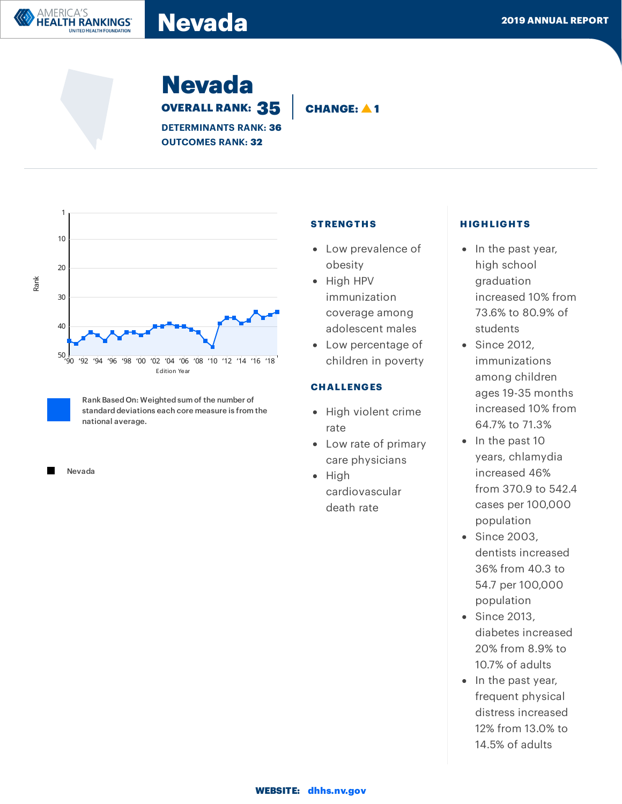# Nevada **Nevada** and the second of the second of the second of the second of the second of the second of the second of the second of the second of the second of the second of the second of the second of the second of the se

Nevada OVERALL RANK: 35 **CHANGE: 41** 

DETERMINANTS RANK: 36 OUTCOMES RANK: 32



RankBased On: Weighted sum of the number of standard deviations each core measure is from the national average.

Nevada

AMERICA'S

**HEALTH RANKINGS®** UNITED HEALTH FOUNDATION

#### **STRENGTHS**

- Low prevalence of obesity
- High HPV immunization coverage among adolescent males
- Low percentage of children in poverty

## **CHALLENGES**

- High violent crime rate
- Low rate of primary care physicians
- $\bullet$  High cardiovascular death rate

#### HIGHLIGHTS

- In the past year, high school graduation increased 10% from 73.6% to 80.9% of students
- Since 2012, immunizations among children ages 19-35 months increased 10% from 64.7% to 71.3%
- $\bullet$  In the past 10 years, chlamydia increased 46% from 370.9 to 542.4 cases per 100,000 population
- Since 2003, dentists increased 36% from 40.3 to 54.7 per 100,000 population
- Since 2013, diabetes increased 20% from 8.9% to 10.7% of adults
- In the past year, frequent physical distress increased 12% from 13.0% to 14.5% of adults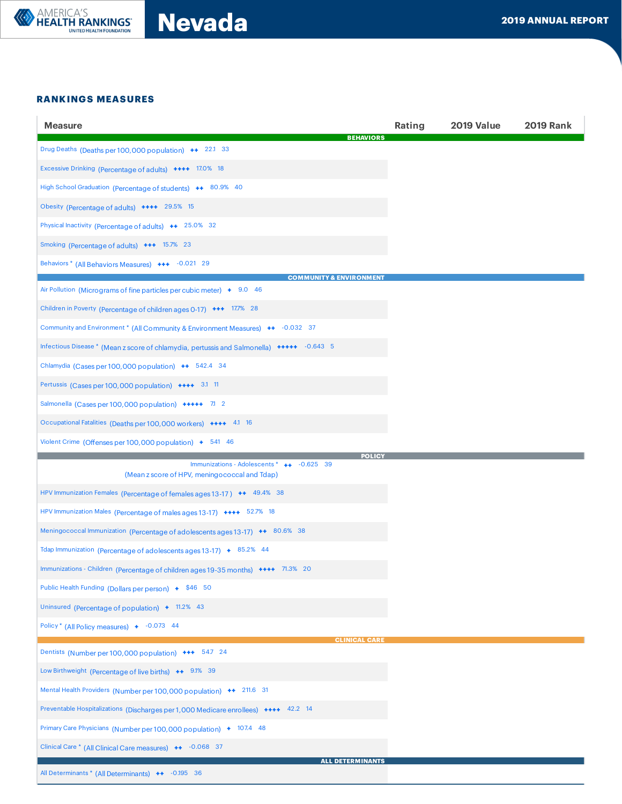

Nevada **Nevada** 2019 ANNUAL REPORT

#### RANKINGS MEASURES

| <b>Measure</b>                                                                                              | Rating | 2019 Value | <b>2019 Rank</b> |
|-------------------------------------------------------------------------------------------------------------|--------|------------|------------------|
| <b>BEHAVIORS</b><br>Drug Deaths (Deaths per 100,000 population) ++ 22.1 33                                  |        |            |                  |
| Excessive Drinking (Percentage of adults) ++++ 17.0% 18                                                     |        |            |                  |
| High School Graduation (Percentage of students) ++ 80.9% 40                                                 |        |            |                  |
| Obesity (Percentage of adults) ++++ 29.5% 15                                                                |        |            |                  |
| Physical Inactivity (Percentage of adults) ++ 25.0% 32                                                      |        |            |                  |
| Smoking (Percentage of adults) +++ 15.7% 23                                                                 |        |            |                  |
| Behaviors * (All Behaviors Measures) +++ -0.021 29                                                          |        |            |                  |
| <b>COMMUNITY &amp; ENVIRONMENT</b><br>Air Pollution (Micrograms of fine particles per cubic meter) + 9.0 46 |        |            |                  |
| Children in Poverty (Percentage of children ages 0-17) +++ 17.7% 28                                         |        |            |                  |
| Community and Environment * (All Community & Environment Measures) ++ -0.032 37                             |        |            |                  |
| Infectious Disease * (Mean z score of chlamydia, pertussis and Salmonella) +++++ -0.643 5                   |        |            |                  |
| Chlamydia (Cases per 100,000 population) ++ 542.4 34                                                        |        |            |                  |
| Pertussis (Cases per 100,000 population) ++++ 3.1 11                                                        |        |            |                  |
| Salmonella (Cases per 100,000 population) +++++ 7.1 2                                                       |        |            |                  |
| Occupational Fatalities (Deaths per 100,000 workers) ++++ 41 16                                             |        |            |                  |
| Violent Crime (Offenses per 100,000 population) + 541 46                                                    |        |            |                  |
|                                                                                                             |        |            |                  |
| <b>POLIC</b><br>Immunizations - Adolescents * ++ -0.625 39<br>(Mean z score of HPV, meningococcal and Tdap) |        |            |                  |
| HPV Immunization Females (Percentage of females ages 13-17) ++ 49.4% 38                                     |        |            |                  |
| HPV Immunization Males (Percentage of males ages 13-17) ++++ 52.7% 18                                       |        |            |                  |
| Meningococcal Immunization (Percentage of adolescents ages 13-17) ++ 80.6% 38                               |        |            |                  |
| Tdap Immunization (Percentage of adolescents ages 13-17) + 85.2% 44                                         |        |            |                  |
| Immunizations - Children (Percentage of children ages 19-35 months) ++++ 71.3% 20                           |        |            |                  |
| Public Health Funding (Dollars per person) + \$46 50                                                        |        |            |                  |
| Uninsured (Percentage of population) + 11.2% 43                                                             |        |            |                  |
| Policy* (All Policy measures) + -0.073 44                                                                   |        |            |                  |
| <b>CLINICAL CARE</b><br>Dentists (Number per 100,000 population) +++ 547 24                                 |        |            |                  |
| Low Birthweight (Percentage of live births) ++ 9.1% 39                                                      |        |            |                  |
| Mental Health Providers (Number per 100,000 population) ++ 211.6 31                                         |        |            |                  |
| Preventable Hospitalizations (Discharges per 1,000 Medicare enrollees) ++++ 42.2 14                         |        |            |                  |
| Primary Care Physicians (Number per 100,000 population) + 107.4 48                                          |        |            |                  |
| Clinical Care * (All Clinical Care measures) ++ -0.068 37<br><b>ALL DETERMINANTS</b>                        |        |            |                  |

OUTCOMES IN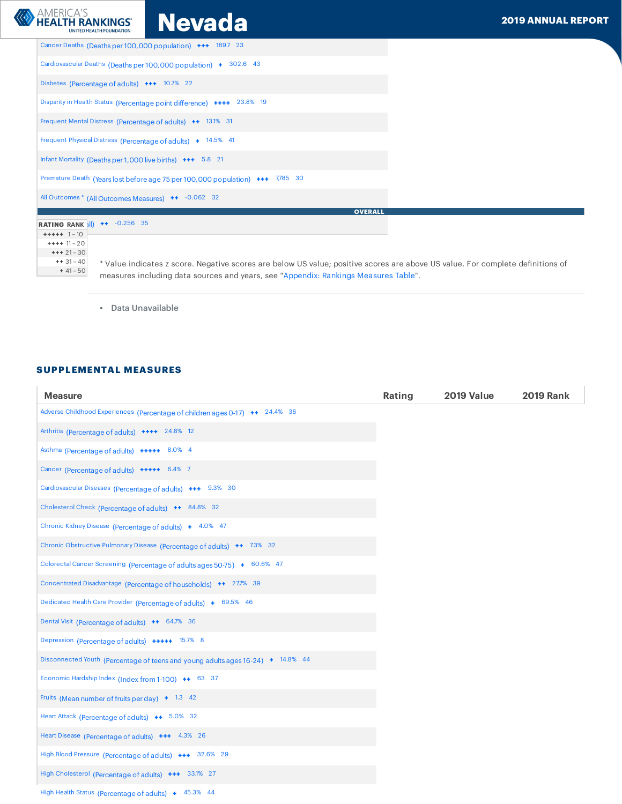| <b>ANERICA'S</b><br><b>Nevada</b><br><b>HEALTH RANKINGS®</b><br><b>UNITED HEALTH FOUNDATION</b>                                             | <b>2019 ANNUAL REPORT</b> |
|---------------------------------------------------------------------------------------------------------------------------------------------|---------------------------|
| Cancer Deaths (Deaths per 100,000 population) +++ 189.7 23                                                                                  |                           |
| Cardiovascular Deaths (Deaths per 100,000 population) + 302.6 43                                                                            |                           |
| Diabetes (Percentage of adults) +++ 10.7% 22                                                                                                |                           |
| Disparity in Health Status (Percentage point difference) ++++ 23.8% 19                                                                      |                           |
| Frequent Mental Distress (Percentage of adults) ++ 13.1% 31                                                                                 |                           |
| Frequent Physical Distress (Percentage of adults) + 14.5% 41                                                                                |                           |
| Infant Mortality (Deaths per 1,000 live births) +++ 5.8 21                                                                                  |                           |
| Premature Death (Years lost before age 75 per 100,000 population) +++ 7,785 30                                                              |                           |
| All Outcomes * (All Outcomes Measures) ++ -0.062 32                                                                                         |                           |
| <b>OVERALL</b>                                                                                                                              |                           |
| <b>RATING RANK III) ++</b> -0.256 35                                                                                                        |                           |
| $+++++ 1-10$                                                                                                                                |                           |
| $++++ 11 - 20$<br>$++21-30$                                                                                                                 |                           |
| $++31-40$<br>* Value indicates z score. Negative scores are below US value; positive scores are above US value. For complete definitions of |                           |
| $+41-50$                                                                                                                                    |                           |
| measures including data sources and years, see "Appendix: Rankings Measures Table".                                                         |                           |

• Data Unavailable

## SUPPLEMENTAL MEASURES

| <b>Measure</b>                                                                  | Rating | <b>2019 Value</b> | <b>2019 Rank</b> |
|---------------------------------------------------------------------------------|--------|-------------------|------------------|
| Adverse Childhood Experiences (Percentage of children ages 0-17) ++ 24.4% 36    |        |                   |                  |
| Arthritis (Percentage of adults) ++++ 24.8% 12                                  |        |                   |                  |
| Asthma (Percentage of adults) +++++ 8.0% 4                                      |        |                   |                  |
| Cancer (Percentage of adults) +++++ 6.4% 7                                      |        |                   |                  |
| Cardiovascular Diseases (Percentage of adults) +++ 9.3% 30                      |        |                   |                  |
| Cholesterol Check (Percentage of adults) ++ 84.8% 32                            |        |                   |                  |
| Chronic Kidney Disease (Percentage of adults) + 4.0% 47                         |        |                   |                  |
| Chronic Obstructive Pulmonary Disease (Percentage of adults) ++ 7.3% 32         |        |                   |                  |
| Colorectal Cancer Screening (Percentage of adults ages 50-75) + 60.6% 47        |        |                   |                  |
| Concentrated Disadvantage (Percentage of households) ++ 277% 39                 |        |                   |                  |
| Dedicated Health Care Provider (Percentage of adults) + 69.5% 46                |        |                   |                  |
| Dental Visit (Percentage of adults) ++ 64.7% 36                                 |        |                   |                  |
| Depression (Percentage of adults) +++++ 15.7% 8                                 |        |                   |                  |
| Disconnected Youth (Percentage of teens and young adults ages 16-24) + 14.8% 44 |        |                   |                  |
| Economic Hardship Index (Index from 1-100) ++ 63 37                             |        |                   |                  |
| Fruits (Mean number of fruits per day) $+$ 1.3 42                               |        |                   |                  |
| Heart Attack (Percentage of adults) ++ 5.0% 32                                  |        |                   |                  |
| Heart Disease (Percentage of adults) +++ 4.3% 26                                |        |                   |                  |
| High Blood Pressure (Percentage of adults) +++ 32.6% 29                         |        |                   |                  |
| High Cholesterol (Percentage of adults) +++ 33.1% 27                            |        |                   |                  |
| High Health Status (Percentage of adults) + 45.3% 44                            |        |                   |                  |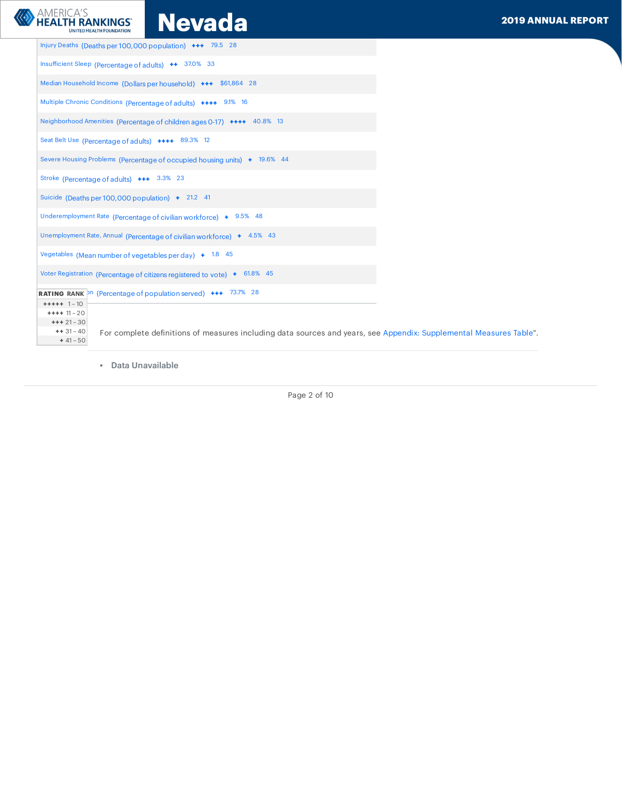MERICA'S<br>EALTH RANKINGS NGU**QUAD AN 2019 ANNUAL REPORT** 

| Injury Deaths (Deaths per 100,000 population) +++ 79.5 28                                                                                                                                  |  |
|--------------------------------------------------------------------------------------------------------------------------------------------------------------------------------------------|--|
| Insufficient Sleep (Percentage of adults) ++ 37.0% 33                                                                                                                                      |  |
| Median Household Income (Dollars per household) +++ \$61,864 28                                                                                                                            |  |
| Multiple Chronic Conditions (Percentage of adults) ++++ 9.1% 16                                                                                                                            |  |
| Neighborhood Amenities (Percentage of children ages 0-17) ++++ 40.8% 13                                                                                                                    |  |
| Seat Belt Use (Percentage of adults) ++++ 89.3% 12                                                                                                                                         |  |
| Severe Housing Problems (Percentage of occupied housing units) + 19.6% 44                                                                                                                  |  |
| Stroke (Percentage of adults) +++ 3.3% 23                                                                                                                                                  |  |
| Suicide (Deaths per 100,000 population) $\div$ 21.2 41                                                                                                                                     |  |
| Underemployment Rate (Percentage of civilian workforce) + 9.5% 48                                                                                                                          |  |
| Unemployment Rate, Annual (Percentage of civilian workforce) + 4.5% 43                                                                                                                     |  |
| Vegetables (Mean number of vegetables per day) $\pm$ 1.8 45                                                                                                                                |  |
| Voter Registration (Percentage of citizens registered to vote) + 61.8% 45                                                                                                                  |  |
| <b>RATING RANK</b> Pn (Percentage of population served) +++ 73.7% 28                                                                                                                       |  |
| $+++++ 1-10$<br>$++++ 11 - 20$<br>$++21-30$<br>$++31-40$<br>For complete definitions of measures including data sources and years, see Appendix: Supplemental Measures Table".<br>$+41-50$ |  |

• Data Unavailable

Page 2 of 10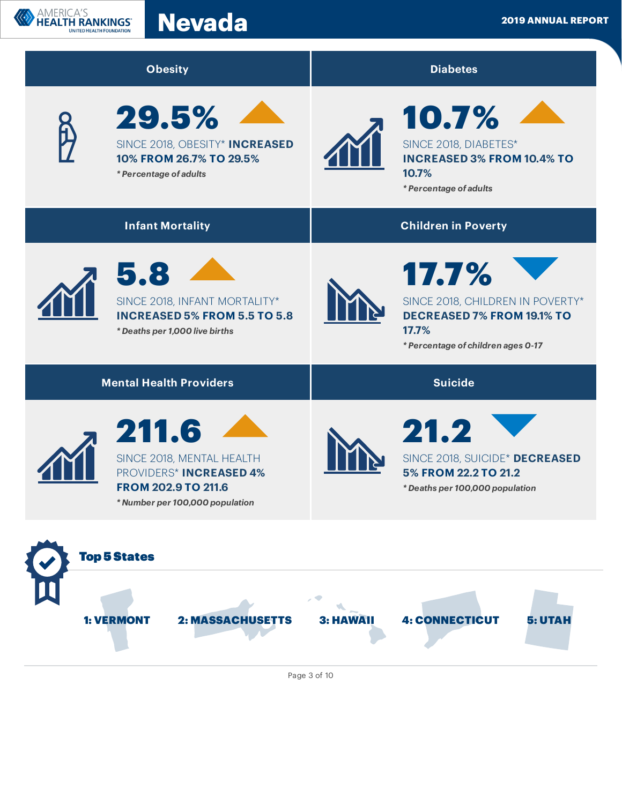



Page 3 of 10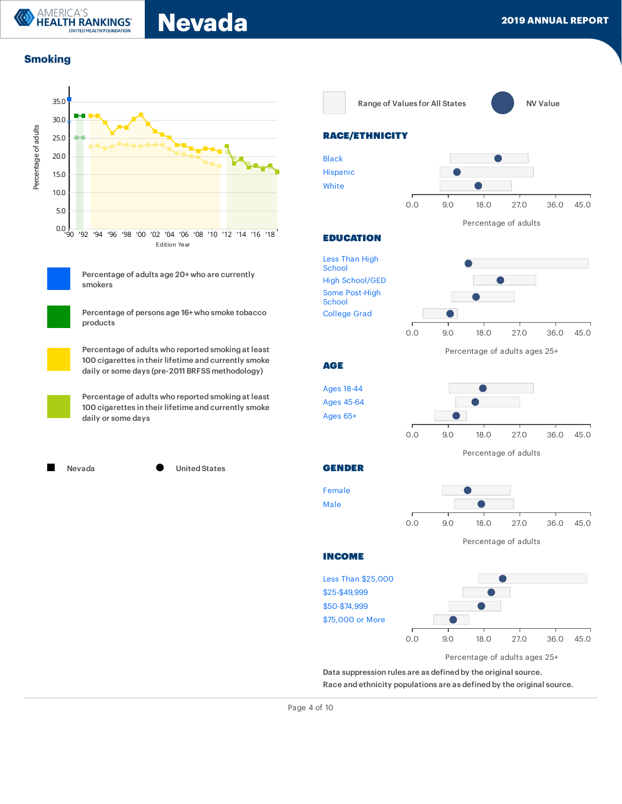Nevada **Nevada** and the second of the second of the second of the second of the second of the second of the second of the second of the second of the second of the second of the second of the second of the second of the se

# **Smoking**



Percentage of adults age 20+ who are currently smokers



Percentage of persons age 16+ who smoke tobacco products



Percentage of adults who reported smoking at least 100 cigarettes in their lifetime and currently smoke daily or some days (pre-2011 BRFSS methodology)

Percentage of adults who reported smoking at least 100 cigarettes in their lifetime and currently smoke daily or some days

Nevada United States





### RACE/ETHNICITY



#### EDUCATION

Less Than High [School](https://www.americashealthrankings.org/explore/annual/measure/Smoking/population/Smoking_less_HS_C/state/NV) High [School/GED](https://www.americashealthrankings.org/explore/annual/measure/Smoking/population/Smoking_HS_Grad_C/state/NV) Some [Post-High](https://www.americashealthrankings.org/explore/annual/measure/Smoking/population/Smoking_Some_College_C/state/NV) School [College](https://www.americashealthrankings.org/explore/annual/measure/Smoking/population/Smoking_College_C/state/NV) Grad



Percentage of adults ages 25+

#### **AGE**



GENDER





INCOME



Data suppression rules are as defined by the original source. Race and ethnicity populations are as defined by the original source.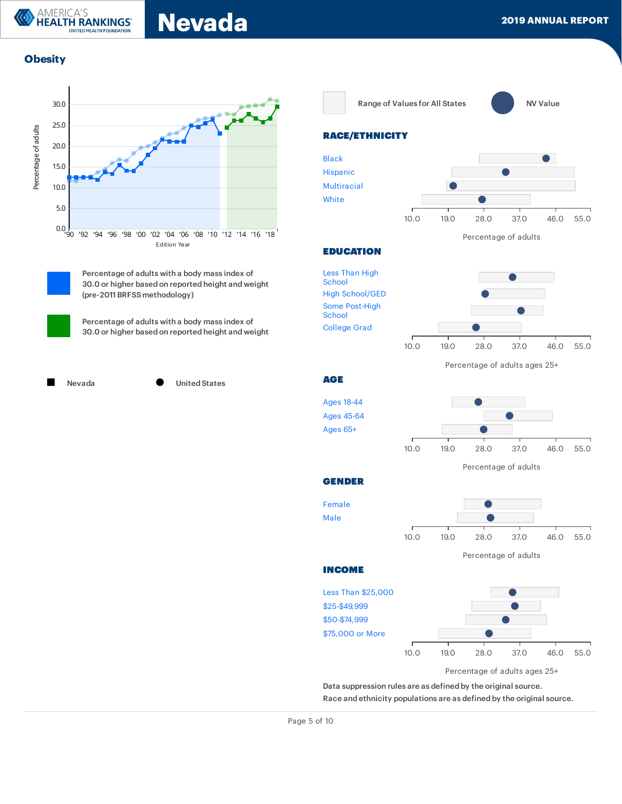# **Obesity**

**AMERICA'S** 

**HEALTH RANKINGS® ITED HEALTH FOUNDATION** 



Percentage of adults with a body mass index of 30.0 or higher based on reported height and weight (pre-2011 BRFSS methodology)

Percentage of adults with a body mass index of 30.0 or higher based on reported height and weight



Range of Values for All States **NATION** NV Value



## RACE/ETHNICITY



#### **EDUCATION**





GENDER

[Female](https://www.americashealthrankings.org/explore/annual/measure/Obesity/population/Obesity_Female_C/state/NV) [Male](https://www.americashealthrankings.org/explore/annual/measure/Obesity/population/Obesity_Male_C/state/NV) 10.0 19.0 28.0 37.0 46.0 55.0

Percentage of adults

INCOME



Data suppression rules are as defined by the original source.

Race and ethnicity populations are as defined by the original source.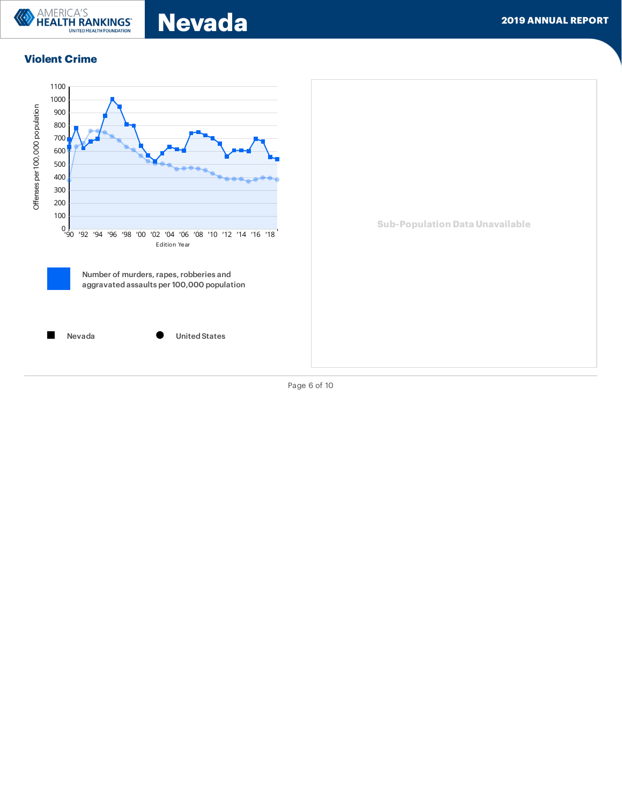

Nevada 2019 ANNUAL REPORT

# Violent Crime



Page 6 of 10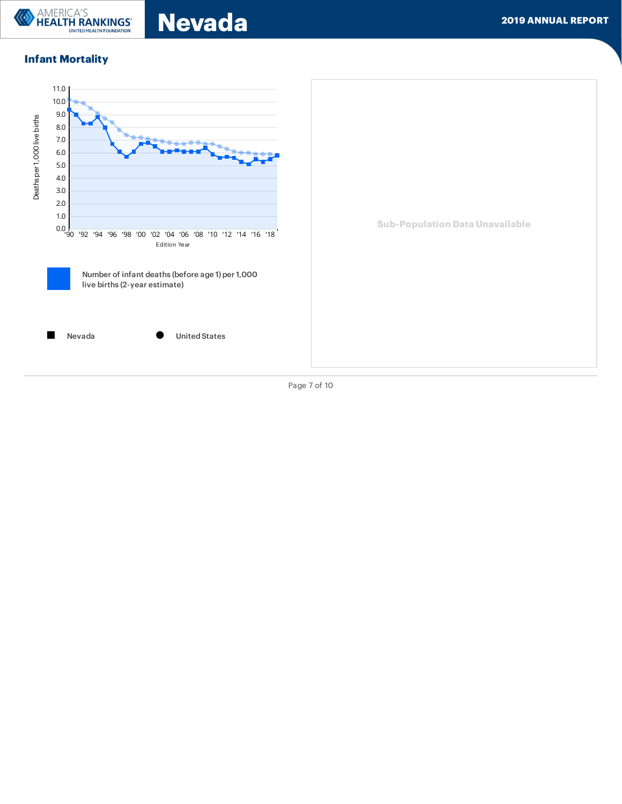

Nevada **Nevada** 2019 ANNUAL REPORT

# Infant Mortality



Page 7 of 10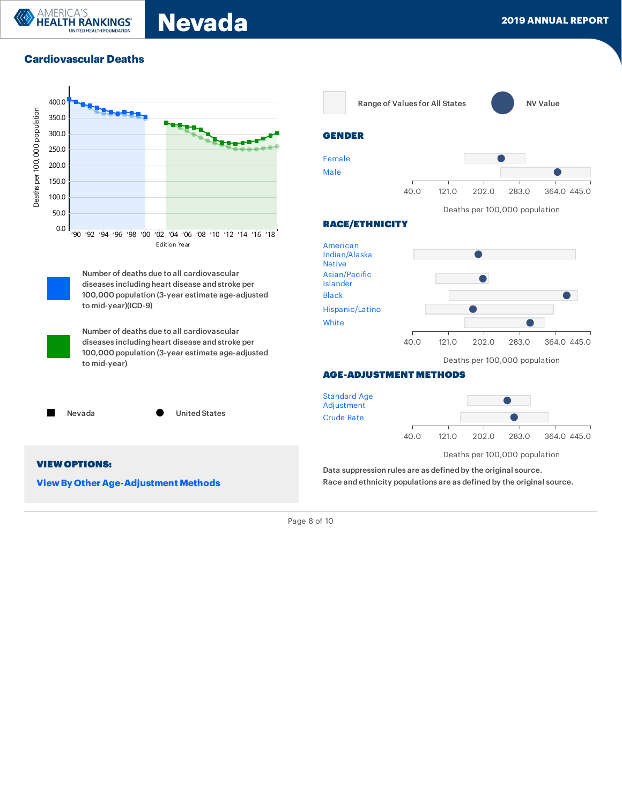# Cardiovascular Deaths

**LTH RANKINGS' TED HEALTH FOUNDATION** 

AMERICA'S



**View By Other Age-Adjustment Methods** 

Range of Values for All States **NATION** NV Value

![](_page_9_Figure_6.jpeg)

![](_page_9_Figure_7.jpeg)

#### Deaths per 100,000 population

![](_page_9_Figure_9.jpeg)

#### AGE-ADJUSTMENT METHODS

![](_page_9_Figure_11.jpeg)

Data suppression rules are as defined by the original source. Race and ethnicity populations are as defined by the original source.

Page 8 of 10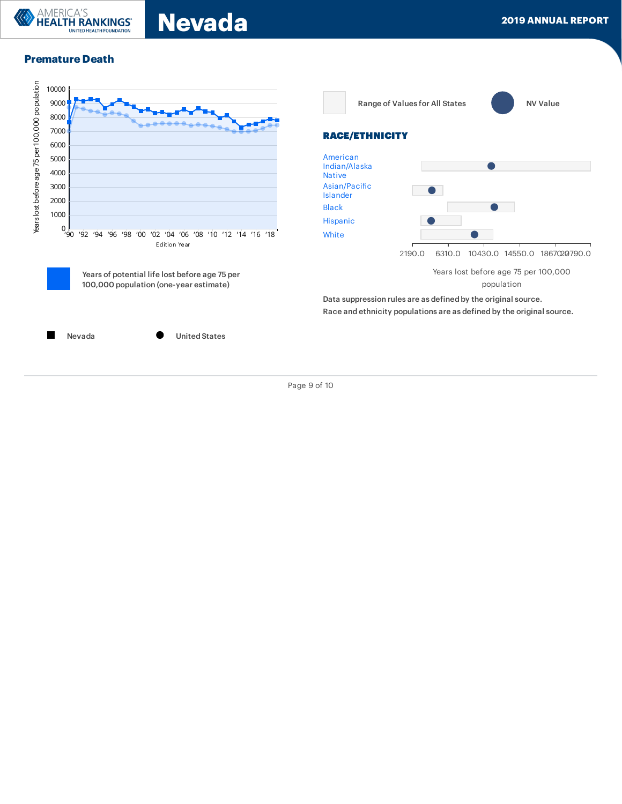![](_page_10_Picture_0.jpeg)

## Premature Death

![](_page_10_Figure_3.jpeg)

Page 9 of 10